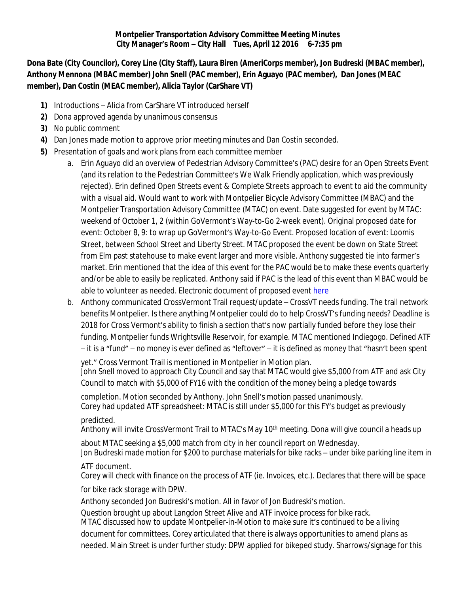## **Montpelier Transportation Advisory Committee Meeting Minutes City Manager's Room – City Hall Tues, April 12 2016 6-7:35 pm**

**Dona Bate (City Councilor), Corey Line (City Staff), Laura Biren (AmeriCorps member), Jon Budreski (MBAC member), Anthony Mennona (MBAC member) John Snell (PAC member), Erin Aguayo (PAC member), Dan Jones (MEAC member), Dan Costin (MEAC member), Alicia Taylor (CarShare VT)**

- **1)** Introductions Alicia from CarShare VT introduced herself
- **2)** Dona approved agenda by unanimous consensus
- **3)** No public comment
- **4)** Dan Jones made motion to approve prior meeting minutes and Dan Costin seconded.
- **5)** Presentation of goals and work plans from each committee member
	- a. Erin Aguayo did an overview of Pedestrian Advisory Committee's (PAC) desire for an Open Streets Event (and its relation to the Pedestrian Committee's We Walk Friendly application, which was previously rejected). Erin defined Open Streets event & Complete Streets approach to event to aid the community with a visual aid. Would want to work with Montpelier Bicycle Advisory Committee (MBAC) and the Montpelier Transportation Advisory Committee (MTAC) on event. Date suggested for event by MTAC: weekend of October 1, 2 (within GoVermont's Way-to-Go 2-week event). Original proposed date for event: October 8, 9: to wrap up GoVermont's Way-to-Go Event. Proposed location of event: Loomis Street, between School Street and Liberty Street. MTAC proposed the event be down on State Street from Elm past statehouse to make event larger and more visible. Anthony suggested tie into farmer's market. Erin mentioned that the idea of this event for the PAC would be to make these events quarterly and/or be able to easily be replicated. Anthony said if PAC is the lead of this event than MBAC would be able to volunteer as needed. Electronic document of proposed event [here](file:///\\\\192.168.0.15\\planning\\VISTA\\Transportation%20Committee\\MBAC,%20PAC,%20MEAC,%20Parking%20Updates%20to%20MTAC\\Pedestrian%20Committee%20update%20to%20MTAC\\Open%20Streets%20Event%202016%20Proposal.pdf)
	- b. Anthony communicated CrossVermont Trail request/update CrossVT needs funding. The trail network benefits Montpelier. Is there anything Montpelier could do to help CrossVT's funding needs? Deadline is 2018 for Cross Vermont's ability to finish a section that's now partially funded before they lose their funding. Montpelier funds Wrightsville Reservoir, for example. MTAC mentioned Indiegogo. Defined ATF – it is a "fund" – no money is ever defined as "leftover" – it is defined as money that "hasn't been spent

yet." Cross Vermont Trail is mentioned in Montpelier in Motion plan. John Snell moved to approach City Council and say that MTAC would give \$5,000 from ATF and ask City Council to match with \$5,000 of FY16 with the condition of the money being a pledge towards

completion. Motion seconded by Anthony. John Snell's motion passed unanimously.

Corey had updated ATF spreadsheet: MTAC is still under \$5,000 for this FY's budget as previously predicted.

Anthony will invite CrossVermont Trail to MTAC's May 10<sup>th</sup> meeting. Dona will give council a heads up

about MTAC seeking a \$5,000 match from city in her council report on Wednesday. Jon Budreski made motion for \$200 to purchase materials for bike racks – under bike parking line item in

## ATF document.

Corey will check with finance on the process of ATF (ie. Invoices, etc.). Declares that there will be space

for bike rack storage with DPW.

Anthony seconded Jon Budreski's motion. All in favor of Jon Budreski's motion.

Question brought up about Langdon Street Alive and ATF invoice process for bike rack.

MTAC discussed how to update Montpelier-in-Motion to make sure it's continued to be a living document for committees. Corey articulated that there is always opportunities to amend plans as needed. Main Street is under further study: DPW applied for bikeped study. Sharrows/signage for this